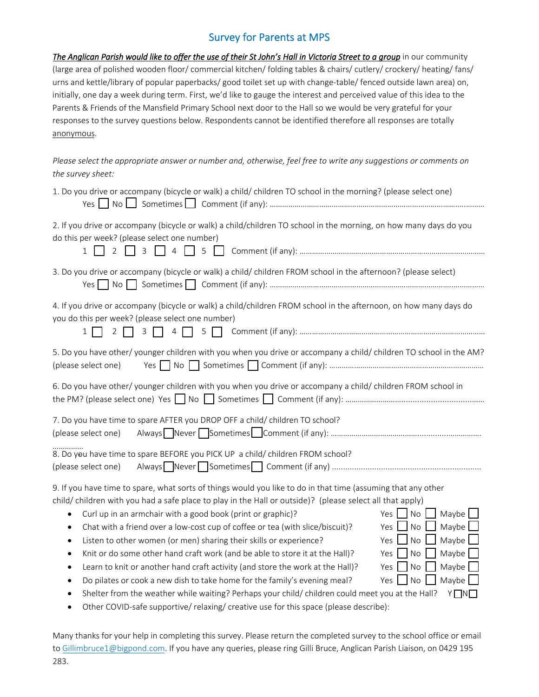## Survey for Parents at MPS

| The Anglican Parish would like to offer the use of their St John's Hall in Victoria Street to a group in our community |
|------------------------------------------------------------------------------------------------------------------------|
| (large area of polished wooden floor/commercial kitchen/folding tables & chairs/cutlery/crockery/heating/fans/         |
| urns and kettle/library of popular paperbacks/ good toilet set up with change-table/ fenced outside lawn area) on,     |
| initially, one day a week during term. First, we'd like to gauge the interest and perceived value of this idea to the  |
| Parents & Friends of the Mansfield Primary School next door to the Hall so we would be very grateful for your          |
| responses to the survey questions below. Respondents cannot be identified therefore all responses are totally          |
| anonymous.                                                                                                             |
|                                                                                                                        |

*Please select the appropriate answer or number and, otherwise, feel free to write any suggestions or comments on the survey sheet:* 

| 1. Do you drive or accompany (bicycle or walk) a child/ children TO school in the morning? (please select one)                                                                                                                                                                                                                                                                                                                                                                                                                                                                                                                                                                                                                                                                                                                                                                                                     |
|--------------------------------------------------------------------------------------------------------------------------------------------------------------------------------------------------------------------------------------------------------------------------------------------------------------------------------------------------------------------------------------------------------------------------------------------------------------------------------------------------------------------------------------------------------------------------------------------------------------------------------------------------------------------------------------------------------------------------------------------------------------------------------------------------------------------------------------------------------------------------------------------------------------------|
| 2. If you drive or accompany (bicycle or walk) a child/children TO school in the morning, on how many days do you<br>do this per week? (please select one number)<br>$\overline{2}$<br>$\overline{3}$<br>$\overline{4}$<br>5<br>$\mathbf{1}$                                                                                                                                                                                                                                                                                                                                                                                                                                                                                                                                                                                                                                                                       |
| 3. Do you drive or accompany (bicycle or walk) a child/ children FROM school in the afternoon? (please select)                                                                                                                                                                                                                                                                                                                                                                                                                                                                                                                                                                                                                                                                                                                                                                                                     |
| 4. If you drive or accompany (bicycle or walk) a child/children FROM school in the afternoon, on how many days do<br>you do this per week? (please select one number)<br>3<br>$\overline{4}$<br>$\mathbf{1}$<br>2                                                                                                                                                                                                                                                                                                                                                                                                                                                                                                                                                                                                                                                                                                  |
| 5. Do you have other/ younger children with you when you drive or accompany a child/ children TO school in the AM?<br>(please select one)                                                                                                                                                                                                                                                                                                                                                                                                                                                                                                                                                                                                                                                                                                                                                                          |
| 6. Do you have other/ younger children with you when you drive or accompany a child/ children FROM school in                                                                                                                                                                                                                                                                                                                                                                                                                                                                                                                                                                                                                                                                                                                                                                                                       |
| 7. Do you have time to spare AFTER you DROP OFF a child/ children TO school?<br>(please select one)                                                                                                                                                                                                                                                                                                                                                                                                                                                                                                                                                                                                                                                                                                                                                                                                                |
| 8. Do you have time to spare BEFORE you PICK UP a child/ children FROM school?<br>(please select one)                                                                                                                                                                                                                                                                                                                                                                                                                                                                                                                                                                                                                                                                                                                                                                                                              |
| 9. If you have time to spare, what sorts of things would you like to do in that time (assuming that any other<br>child/ children with you had a safe place to play in the Hall or outside)? (please select all that apply)<br>Maybe<br>Curl up in an armchair with a good book (print or graphic)?<br>$\overline{\phantom{a}}$ No<br>Yes  <br>Maybe<br>Chat with a friend over a low-cost cup of coffee or tea (with slice/biscuit)?<br>$\overline{\phantom{a}}$ No<br>Yes<br>٠<br>No<br>Maybe<br>Listen to other women (or men) sharing their skills or experience?<br>Yes<br>٠<br>Maybe<br>Knit or do some other hand craft work (and be able to store it at the Hall)?<br>No<br>Yes<br>٠<br><b>No</b><br>Maybe<br>Learn to knit or another hand craft activity (and store the work at the Hall)?<br>Yes<br>٠<br>Do pilates or cook a new dish to take home for the family's evening meal?<br>No<br>Maybe<br>Yes |

• Shelter from the weather while waiting? Perhaps your child/ children could meet you at the Hall?  $Y \square N \square$ 

Other COVID‐safe supportive/ relaxing/ creative use for this space (please describe):

Many thanks for your help in completing this survey. Please return the completed survey to the school office or email to Gillimbruce1@bigpond.com. If you have any queries, please ring Gilli Bruce, Anglican Parish Liaison, on 0429 195 283.